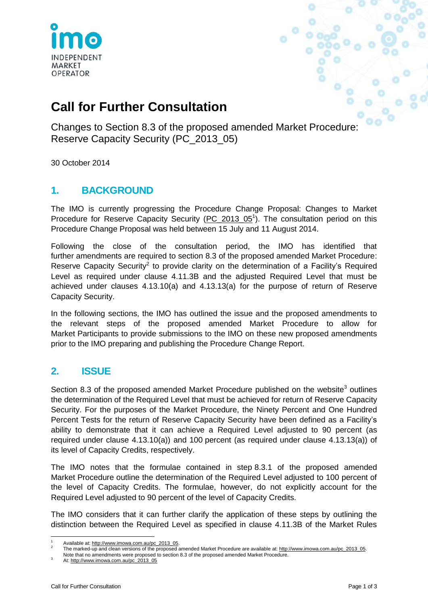

# **Call for Further Consultation**

Changes to Section 8.3 of the proposed amended Market Procedure: Reserve Capacity Security (PC\_2013\_05)

30 October 2014

## **1. BACKGROUND**

The IMO is currently progressing the Procedure Change Proposal: Changes to Market Procedure for Reserve Capacity Security [\(PC\\_2013\\_05](http://www.imowa.com.au/home/electricity/procedures/procedure-changes/imo/closed/pc_2013_05)<sup>1</sup>). The consultation period on this Procedure Change Proposal was held between 15 July and 11 August 2014.

Following the close of the consultation period, the IMO has identified that further amendments are required to section 8.3 of the proposed amended Market Procedure: Reserve Capacity Security<sup>2</sup> to provide clarity on the determination of a Facility's Required Level as required under clause 4.11.3B and the adjusted Required Level that must be achieved under clauses 4.13.10(a) and 4.13.13(a) for the purpose of return of Reserve Capacity Security.

In the following sections, the IMO has outlined the issue and the proposed amendments to the relevant steps of the proposed amended Market Procedure to allow for Market Participants to provide submissions to the IMO on these new proposed amendments prior to the IMO preparing and publishing the Procedure Change Report.

### **2. ISSUE**

Section 8.3 of the proposed amended Market Procedure published on the website<sup>3</sup> outlines the determination of the Required Level that must be achieved for return of Reserve Capacity Security. For the purposes of the Market Procedure, the Ninety Percent and One Hundred Percent Tests for the return of Reserve Capacity Security have been defined as a Facility's ability to demonstrate that it can achieve a Required Level adjusted to 90 percent (as required under clause 4.13.10(a)) and 100 percent (as required under clause 4.13.13(a)) of its level of Capacity Credits, respectively.

The IMO notes that the formulae contained in step 8.3.1 of the proposed amended Market Procedure outline the determination of the Required Level adjusted to 100 percent of the level of Capacity Credits. The formulae, however, do not explicitly account for the Required Level adjusted to 90 percent of the level of Capacity Credits.

The IMO considers that it can further clarify the application of these steps by outlining the distinction between the Required Level as specified in clause 4.11.3B of the Market Rules

 $\overline{a}$ 1 Available at[: http://www.imowa.com.au/pc\\_2013\\_05.](http://www.imowa.com.au/pc_2013_05)

<sup>2</sup> The marked-up and clean versions of the proposed amended Market Procedure are available at: http://www.imowa.com.au/pc\_2013\_05.

Note that no amendments were proposed to section 8.3 of the proposed amended Market Procedure.

At[: http://www.imowa.com.au/pc\\_2013\\_05](http://www.imowa.com.au/pc_2013_05)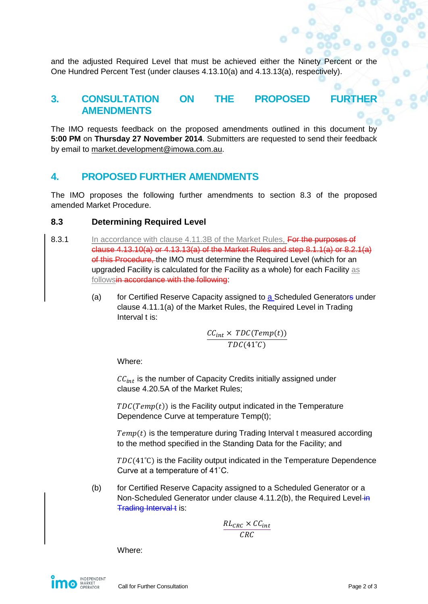and the adjusted Required Level that must be achieved either the Ninety Percent or the One Hundred Percent Test (under clauses 4.13.10(a) and 4.13.13(a), respectively).

#### **3. CONSULTATION ON THE PROPOSED AMENDMENTS**

The IMO requests feedback on the proposed amendments outlined in this document by **5:00 PM** on **Thursday 27 November 2014**. Submitters are requested to send their feedback by email to [market.development@imowa.com.au.](mailto:market.development@imowa.com.au)

#### **4. PROPOSED FURTHER AMENDMENTS**

The IMO proposes the following further amendments to section 8.3 of the proposed amended Market Procedure.

#### **8.3 Determining Required Level**

- 8.3.1 In accordance with clause 4.11.3B of the Market Rules, For the purposes of clause 4.13.10(a) or 4.13.13(a) of the Market Rules and step 8.1.1(a) or 8.2.1(a) of this Procedure, the IMO must determine the Required Level (which for an upgraded Facility is calculated for the Facility as a whole) for each Facility as followsin accordance with the following:
	- (a) for Certified Reserve Capacity assigned to a Scheduled Generators under clause 4.11.1(a) of the Market Rules, the Required Level in Trading Interval t is:

$$
\frac{CC_{int} \times TDC(Temp(t))}{TDC(41^{\circ}C)}
$$

Where:

 $CC_{int}$  is the number of Capacity Credits initially assigned under clause 4.20.5A of the Market Rules;

 $TDC(Temp(t))$  is the Facility output indicated in the Temperature Dependence Curve at temperature Temp(t);

 $Temp(t)$  is the temperature during Trading Interval t measured according to the method specified in the Standing Data for the Facility; and

 $TDC(41^{\circ}C)$  is the Facility output indicated in the Temperature Dependence Curve at a temperature of 41˚C.

(b) for Certified Reserve Capacity assigned to a Scheduled Generator or a Non-Scheduled Generator under clause 4.11.2(b), the Required Level-in Trading Interval t is:

$$
\frac{RL_{CRC} \times CC_{int}}{CRC}
$$

Where: